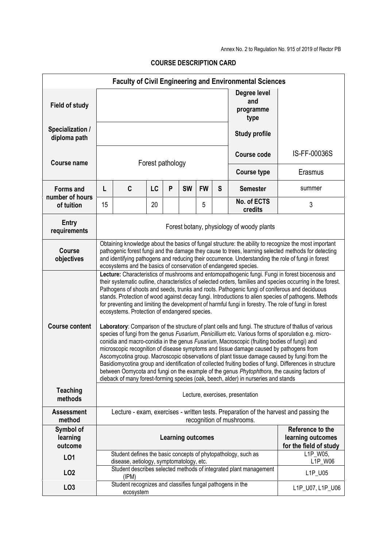Annex No. 2 to Regulation No. 915 of 2019 of Rector PB

|                                                   |                                                                                                                                                                                                                                                                                                                                                                                                                                                                                                                                                                                                                                                                                                                                                                                                                                                                                                                                                                                                                                                                                                                                                                                                                                                                                                                                                                                              |                                                                        |    |   |                          |           |         | <b>Faculty of Civil Engineering and Environmental Sciences</b>    |                  |  |
|---------------------------------------------------|----------------------------------------------------------------------------------------------------------------------------------------------------------------------------------------------------------------------------------------------------------------------------------------------------------------------------------------------------------------------------------------------------------------------------------------------------------------------------------------------------------------------------------------------------------------------------------------------------------------------------------------------------------------------------------------------------------------------------------------------------------------------------------------------------------------------------------------------------------------------------------------------------------------------------------------------------------------------------------------------------------------------------------------------------------------------------------------------------------------------------------------------------------------------------------------------------------------------------------------------------------------------------------------------------------------------------------------------------------------------------------------------|------------------------------------------------------------------------|----|---|--------------------------|-----------|---------|-------------------------------------------------------------------|------------------|--|
| <b>Field of study</b>                             |                                                                                                                                                                                                                                                                                                                                                                                                                                                                                                                                                                                                                                                                                                                                                                                                                                                                                                                                                                                                                                                                                                                                                                                                                                                                                                                                                                                              |                                                                        |    |   |                          |           |         | Degree level<br>and<br>programme<br>type                          |                  |  |
| Specialization /<br>diploma path                  |                                                                                                                                                                                                                                                                                                                                                                                                                                                                                                                                                                                                                                                                                                                                                                                                                                                                                                                                                                                                                                                                                                                                                                                                                                                                                                                                                                                              |                                                                        |    |   |                          |           |         | <b>Study profile</b>                                              |                  |  |
| <b>Course name</b>                                | Forest pathology                                                                                                                                                                                                                                                                                                                                                                                                                                                                                                                                                                                                                                                                                                                                                                                                                                                                                                                                                                                                                                                                                                                                                                                                                                                                                                                                                                             |                                                                        |    |   |                          |           |         | <b>Course code</b>                                                | IS-FF-00036S     |  |
|                                                   |                                                                                                                                                                                                                                                                                                                                                                                                                                                                                                                                                                                                                                                                                                                                                                                                                                                                                                                                                                                                                                                                                                                                                                                                                                                                                                                                                                                              |                                                                        |    |   |                          |           |         | <b>Course type</b>                                                | Erasmus          |  |
| <b>Forms and</b><br>number of hours<br>of tuition | L                                                                                                                                                                                                                                                                                                                                                                                                                                                                                                                                                                                                                                                                                                                                                                                                                                                                                                                                                                                                                                                                                                                                                                                                                                                                                                                                                                                            | C                                                                      | LC | P | <b>SW</b>                | <b>FW</b> | S       | <b>Semester</b>                                                   | summer           |  |
|                                                   | 15                                                                                                                                                                                                                                                                                                                                                                                                                                                                                                                                                                                                                                                                                                                                                                                                                                                                                                                                                                                                                                                                                                                                                                                                                                                                                                                                                                                           |                                                                        | 20 |   |                          | 5         |         | No. of ECTS<br>credits                                            | 3                |  |
| <b>Entry</b><br>requirements                      | Forest botany, physiology of woody plants                                                                                                                                                                                                                                                                                                                                                                                                                                                                                                                                                                                                                                                                                                                                                                                                                                                                                                                                                                                                                                                                                                                                                                                                                                                                                                                                                    |                                                                        |    |   |                          |           |         |                                                                   |                  |  |
| <b>Course</b><br>objectives                       | Obtaining knowledge about the basics of fungal structure: the ability to recognize the most important<br>pathogenic forest fungi and the damage they cause to trees, learning selected methods for detecting<br>and identifying pathogens and reducing their occurrence. Understanding the role of fungi in forest<br>ecosystems and the basics of conservation of endangered species.                                                                                                                                                                                                                                                                                                                                                                                                                                                                                                                                                                                                                                                                                                                                                                                                                                                                                                                                                                                                       |                                                                        |    |   |                          |           |         |                                                                   |                  |  |
| <b>Course content</b>                             | Lecture: Characteristics of mushrooms and entomopathogenic fungi. Fungi in forest biocenosis and<br>their systematic outline, characteristics of selected orders, families and species occurring in the forest.<br>Pathogens of shoots and seeds, trunks and roots. Pathogenic fungi of coniferous and deciduous<br>stands. Protection of wood against decay fungi. Introductions to alien species of pathogens. Methods<br>for preventing and limiting the development of harmful fungi in forestry. The role of fungi in forest<br>ecosystems. Protection of endangered species.<br>Laboratory: Comparison of the structure of plant cells and fungi. The structure of thallus of various<br>species of fungi from the genus Fusarium, Penicillium etc. Various forms of sporulation e.g. micro-<br>conidia and macro-conidia in the genus Fusarium, Macroscopic (fruiting bodies of fungi) and<br>microscopic recognition of disease symptoms and tissue damage caused by pathogens from<br>Ascomycotina group. Macroscopic observations of plant tissue damage caused by fungi from the<br>Basidiomycotina group and identification of collected fruiting bodies of fungi. Differences in structure<br>between Oomycota and fungi on the example of the genus Phytophthora, the causing factors of<br>dieback of many forest-forming species (oak, beech, alder) in nurseries and stands |                                                                        |    |   |                          |           |         |                                                                   |                  |  |
| <b>Teaching</b><br>methods                        | Lecture, exercises, presentation                                                                                                                                                                                                                                                                                                                                                                                                                                                                                                                                                                                                                                                                                                                                                                                                                                                                                                                                                                                                                                                                                                                                                                                                                                                                                                                                                             |                                                                        |    |   |                          |           |         |                                                                   |                  |  |
| <b>Assessment</b><br>method                       | Lecture - exam, exercises - written tests. Preparation of the harvest and passing the<br>recognition of mushrooms.                                                                                                                                                                                                                                                                                                                                                                                                                                                                                                                                                                                                                                                                                                                                                                                                                                                                                                                                                                                                                                                                                                                                                                                                                                                                           |                                                                        |    |   |                          |           |         |                                                                   |                  |  |
| Symbol of<br>learning<br>outcome                  |                                                                                                                                                                                                                                                                                                                                                                                                                                                                                                                                                                                                                                                                                                                                                                                                                                                                                                                                                                                                                                                                                                                                                                                                                                                                                                                                                                                              |                                                                        |    |   | <b>Learning outcomes</b> |           |         | Reference to the<br>learning outcomes<br>for the field of study   |                  |  |
| LO1                                               | L1P W05,<br>Student defines the basic concepts of phytopathology, such as<br>disease, aetiology, symptomatology, etc.                                                                                                                                                                                                                                                                                                                                                                                                                                                                                                                                                                                                                                                                                                                                                                                                                                                                                                                                                                                                                                                                                                                                                                                                                                                                        |                                                                        |    |   |                          |           | L1P_W06 |                                                                   |                  |  |
| LO <sub>2</sub>                                   |                                                                                                                                                                                                                                                                                                                                                                                                                                                                                                                                                                                                                                                                                                                                                                                                                                                                                                                                                                                                                                                                                                                                                                                                                                                                                                                                                                                              | (IPM)                                                                  |    |   |                          |           |         | Student describes selected methods of integrated plant management | L1P_U05          |  |
| LO <sub>3</sub>                                   |                                                                                                                                                                                                                                                                                                                                                                                                                                                                                                                                                                                                                                                                                                                                                                                                                                                                                                                                                                                                                                                                                                                                                                                                                                                                                                                                                                                              | Student recognizes and classifies fungal pathogens in the<br>ecosystem |    |   |                          |           |         |                                                                   | L1P_U07, L1P_U06 |  |

## **COURSE DESCRIPTION CARD**